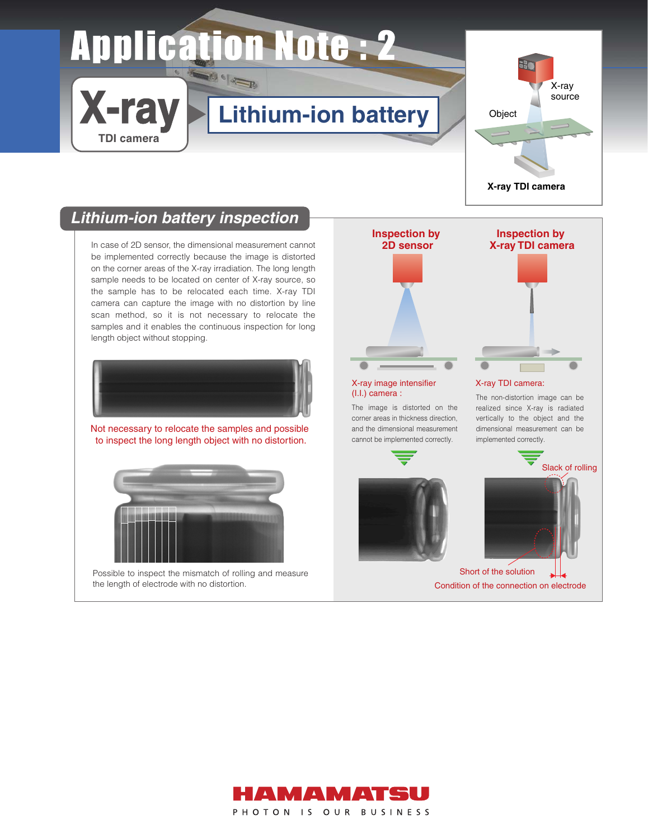# **Application Note: 2**

## **Lithium-ion battery**



## **Lithium-ion battery inspection**

**X-ray**

**TDI camera**

In case of 2D sensor, the dimensional measurement cannot **2D sensor** be implemented correctly because the image is distorted on the corner areas of the X-ray irradiation. The long length sample needs to be located on center of X-ray source, so the sample has to be relocated each time. X-ray TDI camera can capture the image with no distortion by line scan method, so it is not necessary to relocate the samples and it enables the continuous inspection for long length object without stopping.



Not necessary to relocate the samples and possible to inspect the long length object with no distortion.



```
Possible to inspect the mismatch of rolling and measure 
the length of electrode with no distortion.
```


corner areas in thickness direction, and the dimensional measurement cannot be implemented correctly.





#### X-ray TDI camera:

The non-distortion image can be realized since X-ray is radiated vertically to the object and the dimensional measurement can be implemented correctly.



Short of the solution Condition of the connection on electrode